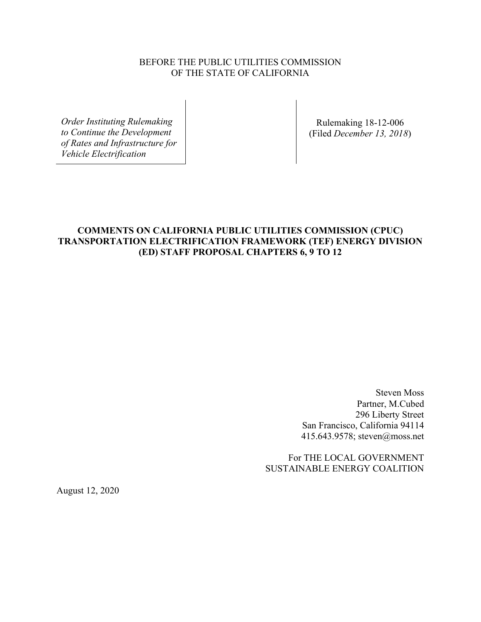## BEFORE THE PUBLIC UTILITIES COMMISSION OF THE STATE OF CALIFORNIA

*Order Instituting Rulemaking to Continue the Development of Rates and Infrastructure for Vehicle Electrification* 

Rulemaking 18-12-006 (Filed *December 13, 2018*)

# **COMMENTS ON CALIFORNIA PUBLIC UTILITIES COMMISSION (CPUC) TRANSPORTATION ELECTRIFICATION FRAMEWORK (TEF) ENERGY DIVISION (ED) STAFF PROPOSAL CHAPTERS 6, 9 TO 12**

 Steven Moss Partner, M.Cubed 296 Liberty Street San Francisco, California 94114 415.643.9578; steven@moss.net

 For THE LOCAL GOVERNMENT SUSTAINABLE ENERGY COALITION

August 12, 2020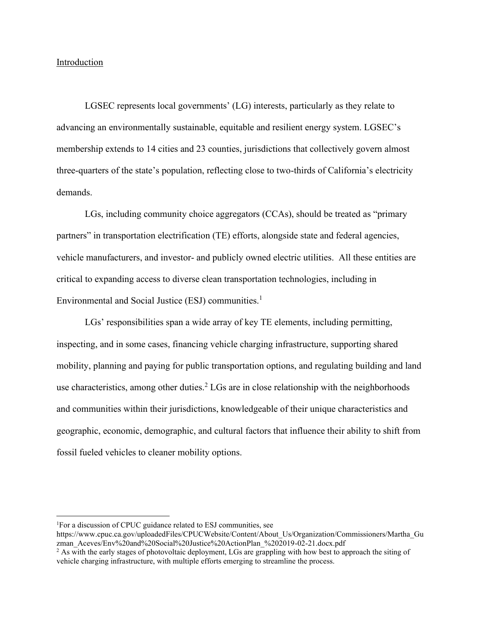## Introduction

 LGSEC represents local governments' (LG) interests, particularly as they relate to advancing an environmentally sustainable, equitable and resilient energy system. LGSEC's membership extends to 14 cities and 23 counties, jurisdictions that collectively govern almost three-quarters of the state's population, reflecting close to two-thirds of California's electricity demands.

 LGs, including community choice aggregators (CCAs), should be treated as "primary partners" in transportation electrification (TE) efforts, alongside state and federal agencies, vehicle manufacturers, and investor- and publicly owned electric utilities. All these entities are critical to expanding access to diverse clean transportation technologies, including in Environmental and Social Justice (ESJ) communities.<sup>1</sup>

LGs' responsibilities span a wide array of key TE elements, including permitting, inspecting, and in some cases, financing vehicle charging infrastructure, supporting shared mobility, planning and paying for public transportation options, and regulating building and land use characteristics, among other duties.<sup>2</sup> LGs are in close relationship with the neighborhoods and communities within their jurisdictions, knowledgeable of their unique characteristics and geographic, economic, demographic, and cultural factors that influence their ability to shift from fossil fueled vehicles to cleaner mobility options.

<sup>&</sup>lt;sup>1</sup>For a discussion of CPUC guidance related to ESJ communities, see

[https://www.cpuc.ca.gov/uploadedFiles/CPUCWebsite/Content/About\\_Us/Organization/Commissioners/Martha\\_Gu](https://www.cpuc.ca.gov/uploadedFiles/CPUCWebsite/Content/About_Us/Organization/Commissioners/Martha_Guzman_Aceves/Env%20and%20Social%20Justice%20ActionPlan_%202019-02-21.docx.pdf) [zman\\_Aceves/Env%20and%20Social%20Justice%20ActionPlan\\_%202019-02-21.docx.pdf](https://www.cpuc.ca.gov/uploadedFiles/CPUCWebsite/Content/About_Us/Organization/Commissioners/Martha_Guzman_Aceves/Env%20and%20Social%20Justice%20ActionPlan_%202019-02-21.docx.pdf) 

<sup>&</sup>lt;sup>2</sup> As with the early stages of photovoltaic deployment, LGs are grappling with how best to approach the siting of vehicle charging infrastructure, with multiple efforts emerging to streamline the process.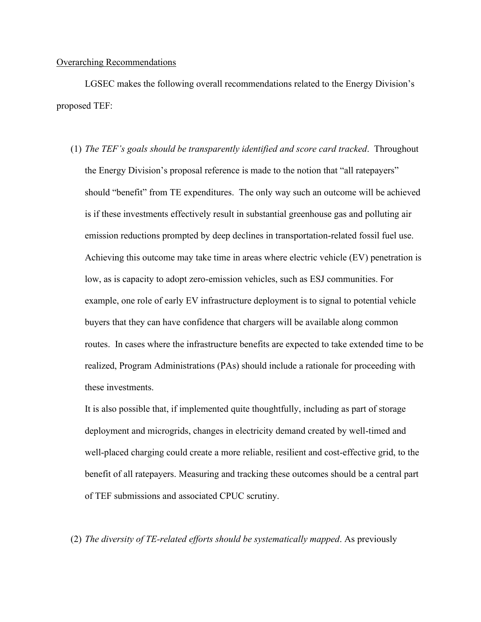## Overarching Recommendations

 LGSEC makes the following overall recommendations related to the Energy Division's proposed TEF:

(1) *The TEF's goals should be transparently identified and score card tracked*. Throughout the Energy Division's proposal reference is made to the notion that "all ratepayers" should "benefit" from TE expenditures. The only way such an outcome will be achieved is if these investments effectively result in substantial greenhouse gas and polluting air emission reductions prompted by deep declines in transportation-related fossil fuel use. Achieving this outcome may take time in areas where electric vehicle (EV) penetration is low, as is capacity to adopt zero-emission vehicles, such as ESJ communities. For example, one role of early EV infrastructure deployment is to signal to potential vehicle buyers that they can have confidence that chargers will be available along common routes. In cases where the infrastructure benefits are expected to take extended time to be realized, Program Administrations (PAs) should include a rationale for proceeding with these investments.

It is also possible that, if implemented quite thoughtfully, including as part of storage deployment and microgrids, changes in electricity demand created by well-timed and well-placed charging could create a more reliable, resilient and cost-effective grid, to the benefit of all ratepayers. Measuring and tracking these outcomes should be a central part of TEF submissions and associated CPUC scrutiny.

(2) *The diversity of TE-related efforts should be systematically mapped*. As previously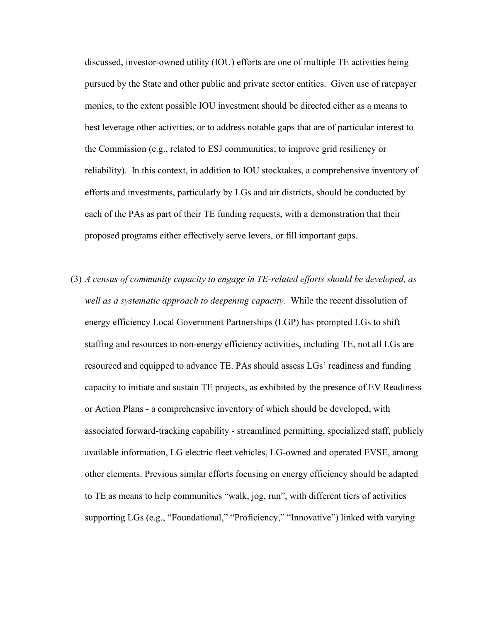discussed, investor-owned utility (IOU) efforts are one of multiple TE activities being pursued by the State and other public and private sector entities. Given use of ratepayer monies, to the extent possible IOU investment should be directed either as a means to best leverage other activities, or to address notable gaps that are of particular interest to the Commission (e.g., related to ESJ communities; to improve grid resiliency or reliability). In this context, in addition to IOU stocktakes, a comprehensive inventory of efforts and investments, particularly by LGs and air districts, should be conducted by each of the PAs as part of their TE funding requests, with a demonstration that their proposed programs either effectively serve levers, or fill important gaps.

(3) *A census of community capacity to engage in TE-related efforts should be developed, as well as a systematic approach to deepening capacity.* While the recent dissolution of energy efficiency Local Government Partnerships (LGP) has prompted LGs to shift staffing and resources to non-energy efficiency activities, including TE, not all LGs are resourced and equipped to advance TE. PAs should assess LGs' readiness and funding capacity to initiate and sustain TE projects, as exhibited by the presence of EV Readiness or Action Plans - a comprehensive inventory of which should be developed, with associated forward-tracking capability - streamlined permitting, specialized staff, publicly available information, LG electric fleet vehicles, LG-owned and operated EVSE, among other elements. Previous similar efforts focusing on energy efficiency should be adapted to TE as means to help communities "walk, jog, run", with different tiers of activities supporting LGs (e.g., "Foundational," "Proficiency," "Innovative") linked with varying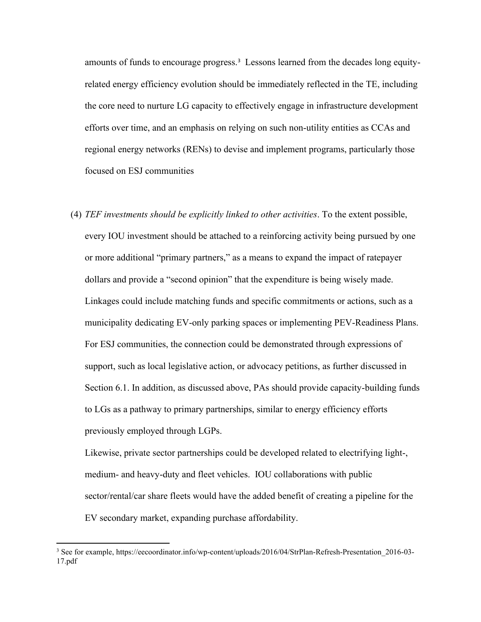amounts of funds to encourage progress.<sup>3</sup> Lessons learned from the decades long equityrelated energy efficiency evolution should be immediately reflected in the TE, including the core need to nurture LG capacity to effectively engage in infrastructure development efforts over time, and an emphasis on relying on such non-utility entities as CCAs and regional energy networks (RENs) to devise and implement programs, particularly those focused on ESJ communities

(4) *TEF investments should be explicitly linked to other activities*. To the extent possible, every IOU investment should be attached to a reinforcing activity being pursued by one or more additional "primary partners," as a means to expand the impact of ratepayer dollars and provide a "second opinion" that the expenditure is being wisely made. Linkages could include matching funds and specific commitments or actions, such as a municipality dedicating EV-only parking spaces or implementing PEV-Readiness Plans. For ESJ communities, the connection could be demonstrated through expressions of support, such as local legislative action, or advocacy petitions, as further discussed in Section 6.1. In addition, as discussed above, PAs should provide capacity-building funds to LGs as a pathway to primary partnerships, similar to energy efficiency efforts previously employed through LGPs.

Likewise, private sector partnerships could be developed related to electrifying light-, medium- and heavy-duty and fleet vehicles. IOU collaborations with public sector/rental/car share fleets would have the added benefit of creating a pipeline for the EV secondary market, expanding purchase affordability.

<sup>&</sup>lt;sup>3</sup> See for example, https://eecoordinator.info/wp-content/uploads/2016/04/StrPlan-Refresh-Presentation 2016-03-[17.pdf](https://eecoordinator.info/wp-content/uploads/2016/04/StrPlan-Refresh-Presentation_2016-03-17.pdf)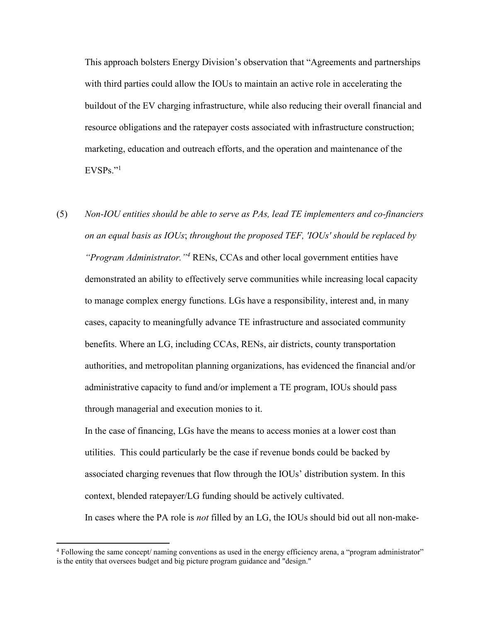This approach bolsters Energy Division's observation that "Agreements and partnerships with third parties could allow the IOUs to maintain an active role in accelerating the buildout of the EV charging infrastructure, while also reducing their overall financial and resource obligations and the ratepayer costs associated with infrastructure construction; marketing, education and outreach efforts, and the operation and maintenance of the  $EVSPs.$ "<sup>1</sup>

(5) *Non-IOU entities should be able to serve as PAs, lead TE implementers and co-financiers on an equal basis as IOUs*; *throughout the proposed TEF, 'IOUs' should be replaced by*  "Program Administrator."<sup>4</sup> RENs, CCAs and other local government entities have demonstrated an ability to effectively serve communities while increasing local capacity to manage complex energy functions. LGs have a responsibility, interest and, in many cases, capacity to meaningfully advance TE infrastructure and associated community benefits. Where an LG, including CCAs, RENs, air districts, county transportation authorities, and metropolitan planning organizations, has evidenced the financial and/or administrative capacity to fund and/or implement a TE program, IOUs should pass through managerial and execution monies to it.

In the case of financing, LGs have the means to access monies at a lower cost than utilities. This could particularly be the case if revenue bonds could be backed by associated charging revenues that flow through the IOUs' distribution system. In this context, blended ratepayer/LG funding should be actively cultivated.

In cases where the PA role is *not* filled by an LG, the IOUs should bid out all non-make-

<sup>4</sup> Following the same concept/ naming conventions as used in the energy efficiency arena, a "program administrator" is the entity that oversees budget and big picture program guidance and "design."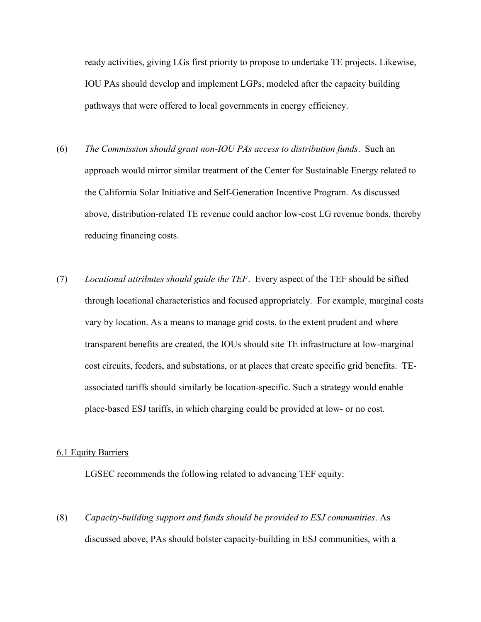ready activities, giving LGs first priority to propose to undertake TE projects. Likewise, IOU PAs should develop and implement LGPs, modeled after the capacity building pathways that were offered to local governments in energy efficiency.

- (6) *The Commission should grant non-IOU PAs access to distribution funds*. Such an approach would mirror similar treatment of the Center for Sustainable Energy related to the California Solar Initiative and Self-Generation Incentive Program. As discussed above, distribution-related TE revenue could anchor low-cost LG revenue bonds, thereby reducing financing costs.
- (7) *Locational attributes should guide the TEF*. Every aspect of the TEF should be sifted through locational characteristics and focused appropriately. For example, marginal costs vary by location. As a means to manage grid costs, to the extent prudent and where transparent benefits are created, the IOUs should site TE infrastructure at low-marginal cost circuits, feeders, and substations, or at places that create specific grid benefits. TEassociated tariffs should similarly be location-specific. Such a strategy would enable place-based ESJ tariffs, in which charging could be provided at low- or no cost.

#### 6.1 Equity Barriers

LGSEC recommends the following related to advancing TEF equity:

(8) *Capacity-building support and funds should be provided to ESJ communities*. As discussed above, PAs should bolster capacity-building in ESJ communities, with a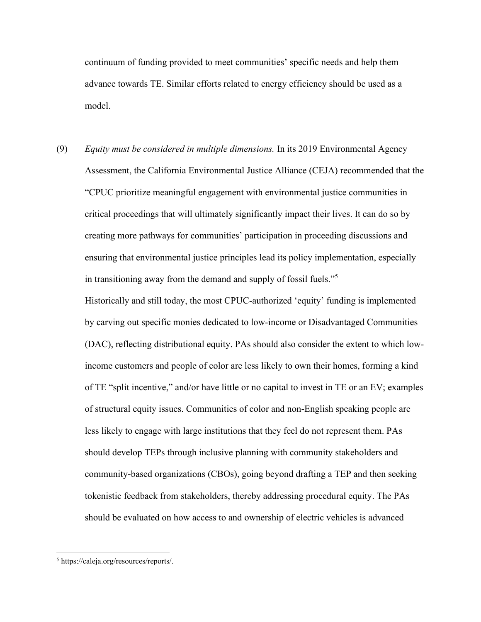continuum of funding provided to meet communities' specific needs and help them advance towards TE. Similar efforts related to energy efficiency should be used as a model.

(9) *Equity must be considered in multiple dimensions.* In its 2019 Environmental Agency Assessment, the California Environmental Justice Alliance (CEJA) recommended that the "CPUC prioritize meaningful engagement with environmental justice communities in critical proceedings that will ultimately significantly impact their lives. It can do so by creating more pathways for communities' participation in proceeding discussions and ensuring that environmental justice principles lead its policy implementation, especially in transitioning away from the demand and supply of fossil fuels."<sup>5</sup>

Historically and still today, the most CPUC-authorized 'equity' funding is implemented by carving out specific monies dedicated to low-income or Disadvantaged Communities (DAC), reflecting distributional equity. PAs should also consider the extent to which lowincome customers and people of color are less likely to own their homes, forming a kind of TE "split incentive," and/or have little or no capital to invest in TE or an EV; examples of structural equity issues. Communities of color and non-English speaking people are less likely to engage with large institutions that they feel do not represent them. PAs should develop TEPs through inclusive planning with community stakeholders and community-based organizations (CBOs), going beyond drafting a TEP and then seeking tokenistic feedback from stakeholders, thereby addressing procedural equity. The PAs should be evaluated on how access to and ownership of electric vehicles is advanced

<sup>5</sup>  [https://caleja.org/resources/reports/.](https://caleja.org/resources/reports/)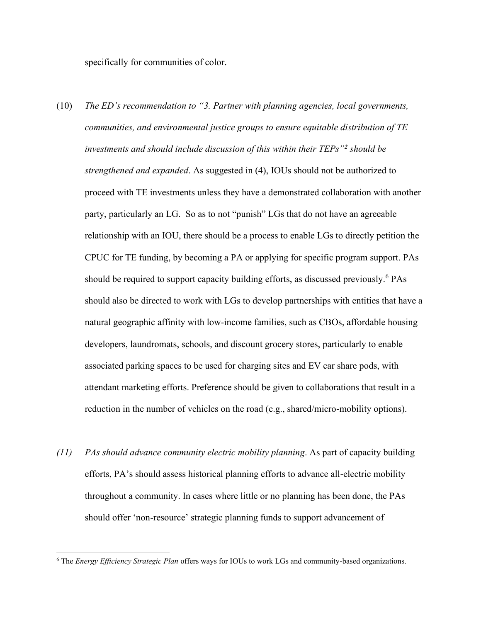specifically for communities of color.

- (10) *The ED's recommendation to "3. Partner with planning agencies, local governments, communities, and environmental justice groups to ensure equitable distribution of TE investments and should include discussion of this within their TEPs"<sup>2</sup> should be strengthened and expanded*. As suggested in (4), IOUs should not be authorized to proceed with TE investments unless they have a demonstrated collaboration with another party, particularly an LG. So as to not "punish" LGs that do not have an agreeable relationship with an IOU, there should be a process to enable LGs to directly petition the CPUC for TE funding, by becoming a PA or applying for specific program support. PAs should be required to support capacity building efforts, as discussed previously.<sup>6</sup> PAs should also be directed to work with LGs to develop partnerships with entities that have a natural geographic affinity with low-income families, such as CBOs, affordable housing developers, laundromats, schools, and discount grocery stores, particularly to enable associated parking spaces to be used for charging sites and EV car share pods, with attendant marketing efforts. Preference should be given to collaborations that result in a reduction in the number of vehicles on the road (e.g., shared/micro-mobility options).
- *(11) PAs should advance community electric mobility planning*. As part of capacity building efforts, PA's should assess historical planning efforts to advance all-electric mobility throughout a community. In cases where little or no planning has been done, the PAs should offer 'non-resource' strategic planning funds to support advancement of

<sup>6</sup> The *Energy Efficiency Strategic Plan* offers ways for IOUs to work LGs and community-based organizations.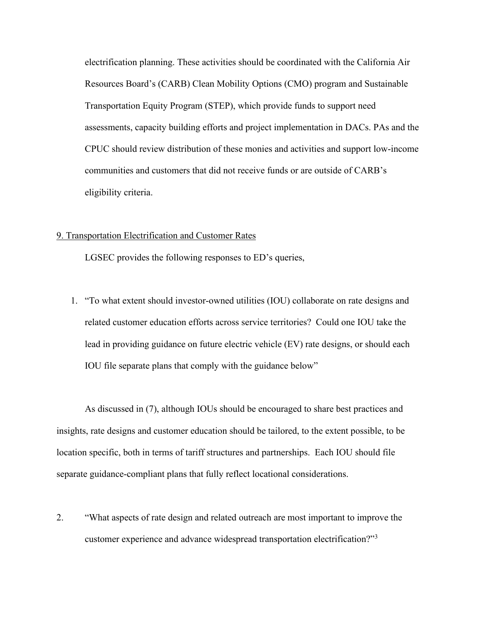electrification planning. These activities should be coordinated with the California Air Resources Board's (CARB) Clean Mobility Options (CMO) program and Sustainable Transportation Equity Program (STEP), which provide funds to support need assessments, capacity building efforts and project implementation in DACs. PAs and the CPUC should review distribution of these monies and activities and support low-income communities and customers that did not receive funds or are outside of CARB's eligibility criteria.

## 9. Transportation Electrification and Customer Rates

LGSEC provides the following responses to ED's queries,

1. "To what extent should investor-owned utilities (IOU) collaborate on rate designs and related customer education efforts across service territories? Could one IOU take the lead in providing guidance on future electric vehicle (EV) rate designs, or should each IOU file separate plans that comply with the guidance below"

As discussed in (7), although IOUs should be encouraged to share best practices and insights, rate designs and customer education should be tailored, to the extent possible, to be location specific, both in terms of tariff structures and partnerships. Each IOU should file separate guidance-compliant plans that fully reflect locational considerations.

2. "What aspects of rate design and related outreach are most important to improve the customer experience and advance widespread transportation electrification?"<sup>3</sup>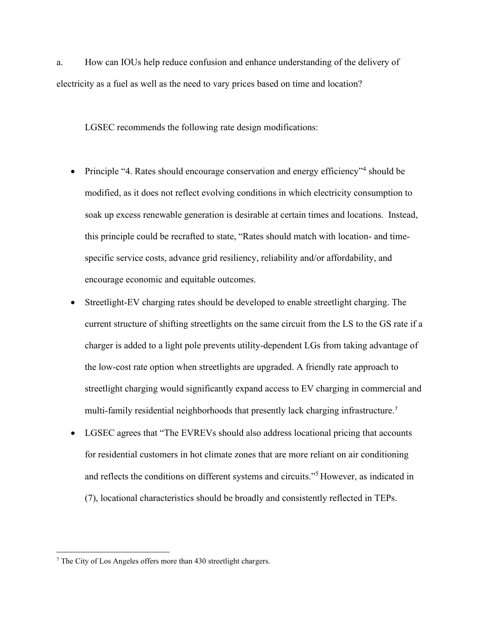a. How can IOUs help reduce confusion and enhance understanding of the delivery of electricity as a fuel as well as the need to vary prices based on time and location?

LGSEC recommends the following rate design modifications:

- Principle "4. Rates should encourage conservation and energy efficiency"<sup>4</sup> should be modified, as it does not reflect evolving conditions in which electricity consumption to soak up excess renewable generation is desirable at certain times and locations. Instead, this principle could be recrafted to state, "Rates should match with location- and timespecific service costs, advance grid resiliency, reliability and/or affordability, and encourage economic and equitable outcomes.
- Streetlight-EV charging rates should be developed to enable streetlight charging. The current structure of shifting streetlights on the same circuit from the LS to the GS rate if a charger is added to a light pole prevents utility-dependent LGs from taking advantage of the low-cost rate option when streetlights are upgraded. A friendly rate approach to streetlight charging would significantly expand access to EV charging in commercial and multi-family residential neighborhoods that presently lack charging infrastructure.<sup>7</sup>
- LGSEC agrees that "The EVREVs should also address locational pricing that accounts for residential customers in hot climate zones that are more reliant on air conditioning and reflects the conditions on different systems and circuits."<sup>5</sup> However, as indicated in (7), locational characteristics should be broadly and consistently reflected in TEPs.

<sup>&</sup>lt;sup>7</sup> The City of Los Angeles offers more than 430 streetlight chargers.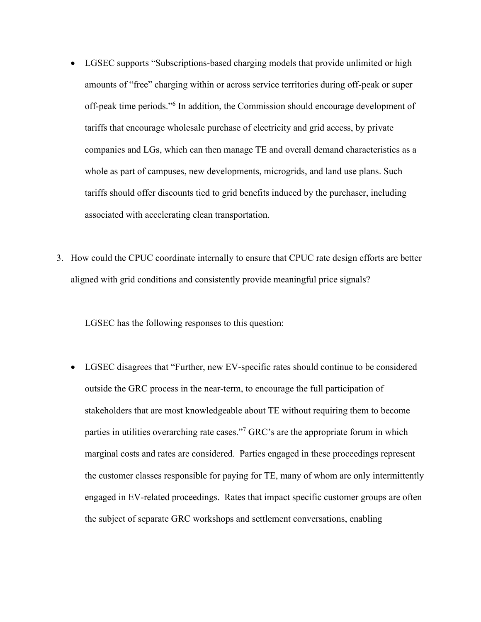- LGSEC supports "Subscriptions-based charging models that provide unlimited or high amounts of "free" charging within or across service territories during off-peak or super off-peak time periods."<sup>6</sup> In addition, the Commission should encourage development of tariffs that encourage wholesale purchase of electricity and grid access, by private companies and LGs, which can then manage TE and overall demand characteristics as a whole as part of campuses, new developments, microgrids, and land use plans. Such tariffs should offer discounts tied to grid benefits induced by the purchaser, including associated with accelerating clean transportation.
- 3. How could the CPUC coordinate internally to ensure that CPUC rate design efforts are better aligned with grid conditions and consistently provide meaningful price signals?

LGSEC has the following responses to this question:

• LGSEC disagrees that "Further, new EV-specific rates should continue to be considered outside the GRC process in the near-term, to encourage the full participation of stakeholders that are most knowledgeable about TE without requiring them to become parties in utilities overarching rate cases."<sup>7</sup> GRC's are the appropriate forum in which marginal costs and rates are considered. Parties engaged in these proceedings represent the customer classes responsible for paying for TE, many of whom are only intermittently engaged in EV-related proceedings. Rates that impact specific customer groups are often the subject of separate GRC workshops and settlement conversations, enabling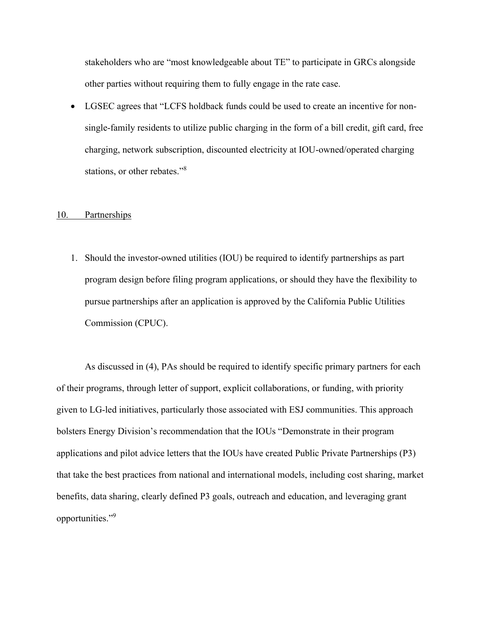stakeholders who are "most knowledgeable about TE" to participate in GRCs alongside other parties without requiring them to fully engage in the rate case.

• LGSEC agrees that "LCFS holdback funds could be used to create an incentive for nonsingle-family residents to utilize public charging in the form of a bill credit, gift card, free charging, network subscription, discounted electricity at IOU-owned/operated charging stations, or other rebates."<sup>8</sup>

#### 10. Partnerships

1. Should the investor-owned utilities (IOU) be required to identify partnerships as part program design before filing program applications, or should they have the flexibility to pursue partnerships after an application is approved by the California Public Utilities Commission (CPUC).

As discussed in (4), PAs should be required to identify specific primary partners for each of their programs, through letter of support, explicit collaborations, or funding, with priority given to LG-led initiatives, particularly those associated with ESJ communities. This approach bolsters Energy Division's recommendation that the IOUs "Demonstrate in their program applications and pilot advice letters that the IOUs have created Public Private Partnerships (P3) that take the best practices from national and international models, including cost sharing, market benefits, data sharing, clearly defined P3 goals, outreach and education, and leveraging grant opportunities."<sup>9</sup>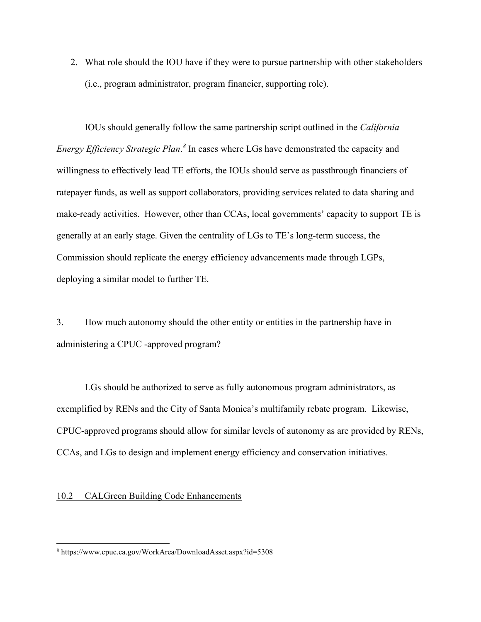2. What role should the IOU have if they were to pursue partnership with other stakeholders (i.e., program administrator, program financier, supporting role).

IOUs should generally follow the same partnership script outlined in the *California*  Energy Efficiency Strategic Plan.<sup>8</sup> In cases where LGs have demonstrated the capacity and willingness to effectively lead TE efforts, the IOUs should serve as passthrough financiers of ratepayer funds, as well as support collaborators, providing services related to data sharing and make-ready activities. However, other than CCAs, local governments' capacity to support TE is generally at an early stage. Given the centrality of LGs to TE's long-term success, the Commission should replicate the energy efficiency advancements made through LGPs, deploying a similar model to further TE.

3. How much autonomy should the other entity or entities in the partnership have in administering a CPUC -approved program?

LGs should be authorized to serve as fully autonomous program administrators, as exemplified by RENs and the City of Santa Monica's multifamily rebate program. Likewise, CPUC-approved programs should allow for similar levels of autonomy as are provided by RENs, CCAs, and LGs to design and implement energy efficiency and conservation initiatives.

#### 10.2 CALGreen Building Code Enhancements

<sup>8</sup> <https://www.cpuc.ca.gov/WorkArea/DownloadAsset.aspx?id=5308>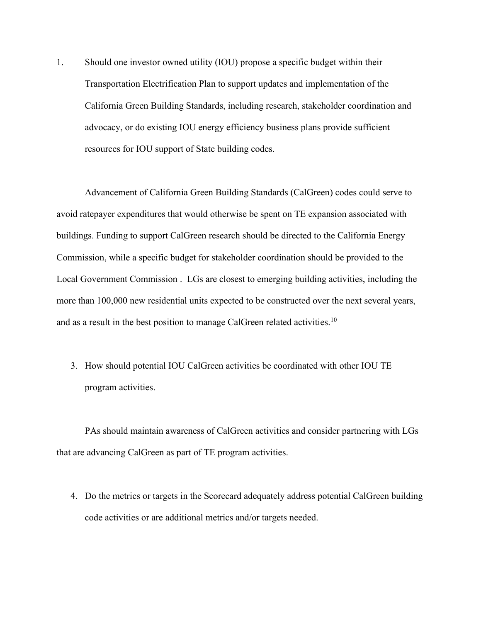1. Should one investor owned utility (IOU) propose a specific budget within their Transportation Electrification Plan to support updates and implementation of the California Green Building Standards, including research, stakeholder coordination and advocacy, or do existing IOU energy efficiency business plans provide sufficient resources for IOU support of State building codes.

Advancement of California Green Building Standards (CalGreen) codes could serve to avoid ratepayer expenditures that would otherwise be spent on TE expansion associated with buildings. Funding to support CalGreen research should be directed to the California Energy Commission, while a specific budget for stakeholder coordination should be provided to the Local Government Commission . LGs are closest to emerging building activities, including the more than 100,000 new residential units expected to be constructed over the next several years, and as a result in the best position to manage CalGreen related activities.<sup>10</sup>

3. How should potential IOU CalGreen activities be coordinated with other IOU TE program activities.

PAs should maintain awareness of CalGreen activities and consider partnering with LGs that are advancing CalGreen as part of TE program activities.

4. Do the metrics or targets in the Scorecard adequately address potential CalGreen building code activities or are additional metrics and/or targets needed.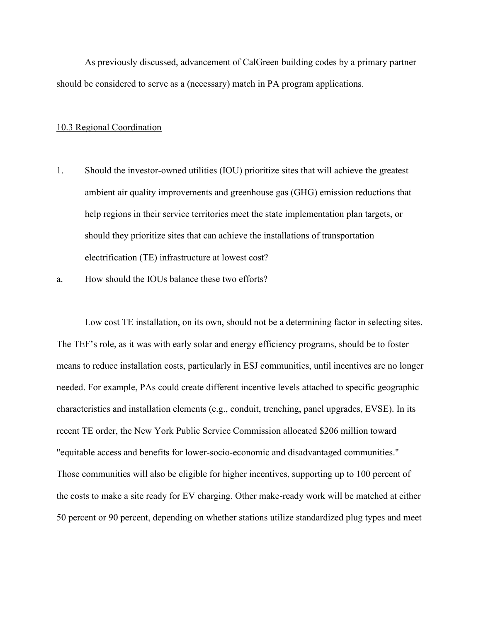As previously discussed, advancement of CalGreen building codes by a primary partner should be considered to serve as a (necessary) match in PA program applications.

#### 10.3 Regional Coordination

- 1. Should the investor-owned utilities (IOU) prioritize sites that will achieve the greatest ambient air quality improvements and greenhouse gas (GHG) emission reductions that help regions in their service territories meet the state implementation plan targets, or should they prioritize sites that can achieve the installations of transportation electrification (TE) infrastructure at lowest cost?
- a. How should the IOUs balance these two efforts?

Low cost TE installation, on its own, should not be a determining factor in selecting sites. The TEF's role, as it was with early solar and energy efficiency programs, should be to foster means to reduce installation costs, particularly in ESJ communities, until incentives are no longer needed. For example, PAs could create different incentive levels attached to specific geographic characteristics and installation elements (e.g., conduit, trenching, panel upgrades, EVSE). In its recent TE order, the New York Public Service Commission allocated \$206 million toward "equitable access and benefits for lower-socio-economic and disadvantaged communities." Those communities will also be eligible for higher incentives, supporting up to 100 percent of the costs to make a site ready for EV charging. Other make-ready work will be matched at either 50 percent or 90 percent, depending on whether stations utilize standardized plug types and meet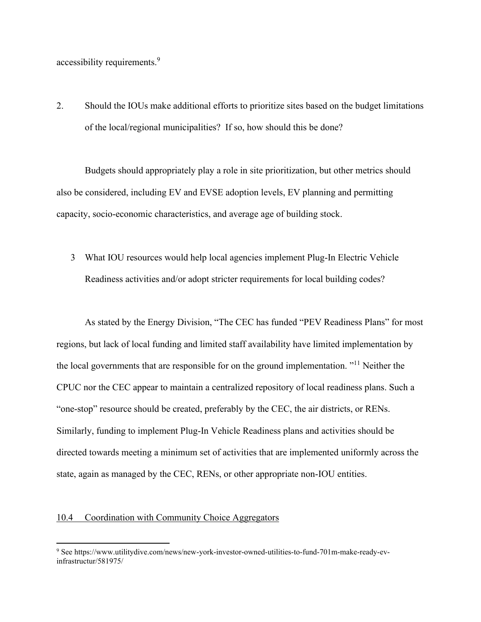accessibility requirements.<sup>9</sup>

2. Should the IOUs make additional efforts to prioritize sites based on the budget limitations of the local/regional municipalities? If so, how should this be done?

Budgets should appropriately play a role in site prioritization, but other metrics should also be considered, including EV and EVSE adoption levels, EV planning and permitting capacity, socio-economic characteristics, and average age of building stock.

3 What IOU resources would help local agencies implement Plug-In Electric Vehicle Readiness activities and/or adopt stricter requirements for local building codes?

As stated by the Energy Division, "The CEC has funded "PEV Readiness Plans" for most regions, but lack of local funding and limited staff availability have limited implementation by the local governments that are responsible for on the ground implementation. "<sup>11</sup> Neither the CPUC nor the CEC appear to maintain a centralized repository of local readiness plans. Such a "one-stop" resource should be created, preferably by the CEC, the air districts, or RENs. Similarly, funding to implement Plug-In Vehicle Readiness plans and activities should be directed towards meeting a minimum set of activities that are implemented uniformly across the state, again as managed by the CEC, RENs, or other appropriate non-IOU entities.

# 10.4 Coordination with Community Choice Aggregators

<sup>9</sup> Se[e https://www.utilitydive.com/news/new-york-investor-owned-utilities-to-fund-701m-make-ready-ev](https://www.utilitydive.com/news/new-york-investor-owned-utilities-to-fund-701m-make-ready-ev-infrastructur/581975/)[infrastructur/581975/](https://www.utilitydive.com/news/new-york-investor-owned-utilities-to-fund-701m-make-ready-ev-infrastructur/581975/)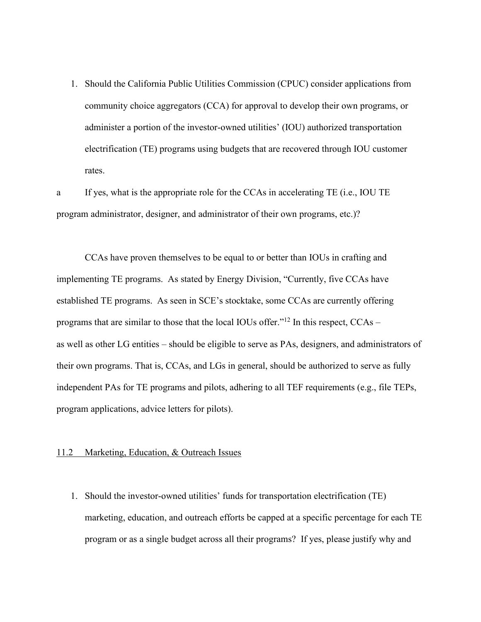1. Should the California Public Utilities Commission (CPUC) consider applications from community choice aggregators (CCA) for approval to develop their own programs, or administer a portion of the investor-owned utilities' (IOU) authorized transportation electrification (TE) programs using budgets that are recovered through IOU customer rates.

a If yes, what is the appropriate role for the CCAs in accelerating TE (i.e., IOU TE program administrator, designer, and administrator of their own programs, etc.)?

CCAs have proven themselves to be equal to or better than IOUs in crafting and implementing TE programs. As stated by Energy Division, "Currently, five CCAs have established TE programs. As seen in SCE's stocktake, some CCAs are currently offering programs that are similar to those that the local IOUs offer."<sup>12</sup> In this respect, CCAs – as well as other LG entities – should be eligible to serve as PAs, designers, and administrators of their own programs. That is, CCAs, and LGs in general, should be authorized to serve as fully independent PAs for TE programs and pilots, adhering to all TEF requirements (e.g., file TEPs, program applications, advice letters for pilots).

## 11.2 Marketing, Education, & Outreach Issues

1. Should the investor-owned utilities' funds for transportation electrification (TE) marketing, education, and outreach efforts be capped at a specific percentage for each TE program or as a single budget across all their programs? If yes, please justify why and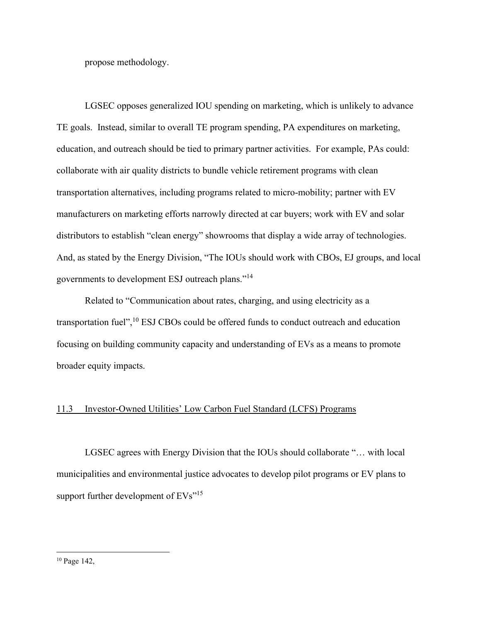propose methodology.

LGSEC opposes generalized IOU spending on marketing, which is unlikely to advance TE goals. Instead, similar to overall TE program spending, PA expenditures on marketing, education, and outreach should be tied to primary partner activities. For example, PAs could: collaborate with air quality districts to bundle vehicle retirement programs with clean transportation alternatives, including programs related to micro-mobility; partner with EV manufacturers on marketing efforts narrowly directed at car buyers; work with EV and solar distributors to establish "clean energy" showrooms that display a wide array of technologies. And, as stated by the Energy Division, "The IOUs should work with CBOs, EJ groups, and local governments to development ESJ outreach plans."<sup>14</sup>

 Related to "Communication about rates, charging, and using electricity as a transportation fuel",<sup>10</sup> ESJ CBOs could be offered funds to conduct outreach and education focusing on building community capacity and understanding of EVs as a means to promote broader equity impacts.

## 11.3 Investor-Owned Utilities' Low Carbon Fuel Standard (LCFS) Programs

LGSEC agrees with Energy Division that the IOUs should collaborate "… with local municipalities and environmental justice advocates to develop pilot programs or EV plans to support further development of EVs"<sup>15</sup>

<sup>10</sup> Page 142,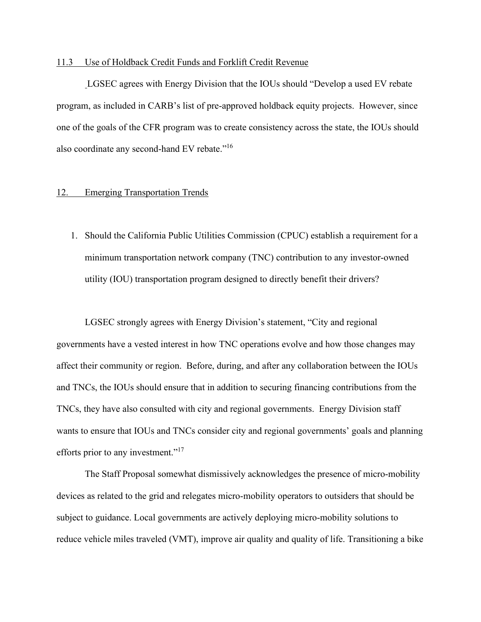## 11.3 Use of Holdback Credit Funds and Forklift Credit Revenue

LGSEC agrees with Energy Division that the IOUs should "Develop a used EV rebate program, as included in CARB's list of pre-approved holdback equity projects. However, since one of the goals of the CFR program was to create consistency across the state, the IOUs should also coordinate any second-hand EV rebate."<sup>16</sup>

#### 12. Emerging Transportation Trends

1. Should the California Public Utilities Commission (CPUC) establish a requirement for a minimum transportation network company (TNC) contribution to any investor-owned utility (IOU) transportation program designed to directly benefit their drivers?

LGSEC strongly agrees with Energy Division's statement, "City and regional governments have a vested interest in how TNC operations evolve and how those changes may affect their community or region. Before, during, and after any collaboration between the IOUs and TNCs, the IOUs should ensure that in addition to securing financing contributions from the TNCs, they have also consulted with city and regional governments. Energy Division staff wants to ensure that IOUs and TNCs consider city and regional governments' goals and planning efforts prior to any investment."<sup>17</sup>

The Staff Proposal somewhat dismissively acknowledges the presence of micro-mobility devices as related to the grid and relegates micro-mobility operators to outsiders that should be subject to guidance. Local governments are actively deploying micro-mobility solutions to reduce vehicle miles traveled (VMT), improve air quality and quality of life. Transitioning a bike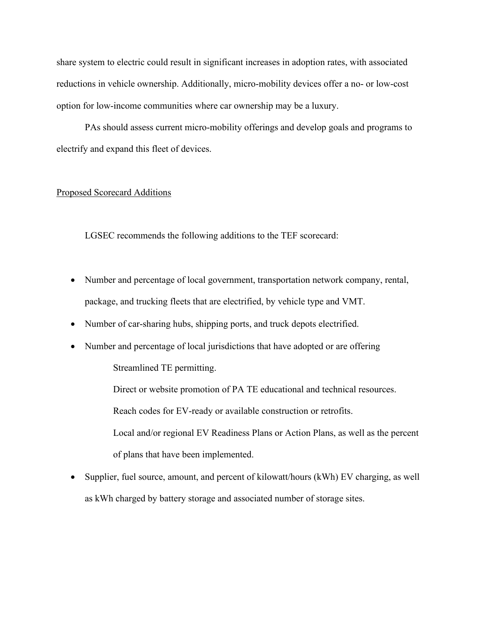share system to electric could result in significant increases in adoption rates, with associated reductions in vehicle ownership. Additionally, micro-mobility devices offer a no- or low-cost option for low-income communities where car ownership may be a luxury.

PAs should assess current micro-mobility offerings and develop goals and programs to electrify and expand this fleet of devices.

## Proposed Scorecard Additions

LGSEC recommends the following additions to the TEF scorecard:

- Number and percentage of local government, transportation network company, rental, package, and trucking fleets that are electrified, by vehicle type and VMT.
- Number of car-sharing hubs, shipping ports, and truck depots electrified.
- Number and percentage of local jurisdictions that have adopted or are offering

Streamlined TE permitting.

Direct or website promotion of PA TE educational and technical resources.

Reach codes for EV-ready or available construction or retrofits.

Local and/or regional EV Readiness Plans or Action Plans, as well as the percent of plans that have been implemented.

• Supplier, fuel source, amount, and percent of kilowatt/hours (kWh) EV charging, as well as kWh charged by battery storage and associated number of storage sites.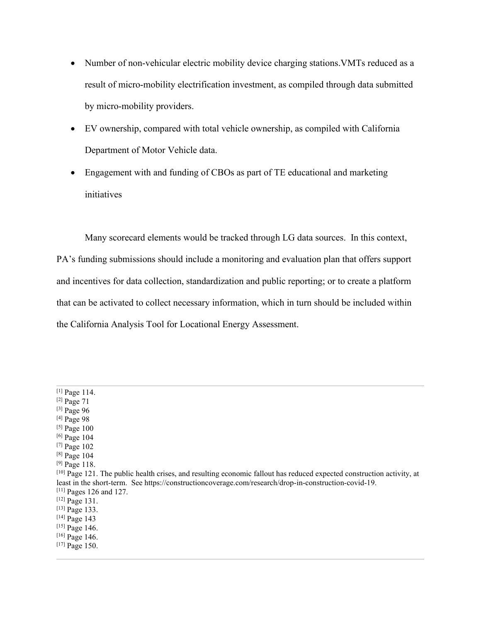- Number of non-vehicular electric mobility device charging stations. VMTs reduced as a result of micro-mobility electrification investment, as compiled through data submitted by micro-mobility providers.
- EV ownership, compared with total vehicle ownership, as compiled with California Department of Motor Vehicle data.
- Engagement with and funding of CBOs as part of TE educational and marketing initiatives

Many scorecard elements would be tracked through LG data sources. In this context, PA's funding submissions should include a monitoring and evaluation plan that offers support and incentives for data collection, standardization and public reporting; or to create a platform that can be activated to collect necessary information, which in turn should be included within the California Analysis Tool for Locational Energy Assessment.

- [3] Page 96
- [4] Page 98
- [5] Page 100 [6] Page 104
- 
- [7] Page 102 [8] Page 104

<sup>[1]</sup> Page 114.

<sup>[2]</sup> Page 71

 $^{[9]}$  Page 118.

<sup>[10]</sup> Page 121. The public health crises, and resulting economic fallout has reduced expected construction activity, at least in the short-term. Se[e https://constructioncoverage.com/research/drop-in-construction-covid-19.](https://constructioncoverage.com/research/drop-in-construction-covid-19) [11] Pages 126 and 127.

<sup>[12]</sup> Page 131.

<sup>[13]</sup> Page 133.

<sup>[14]</sup> Page 143

<sup>[15]</sup> Page 146.

<sup>[16]</sup> Page 146.

<sup>[17]</sup> Page 150.